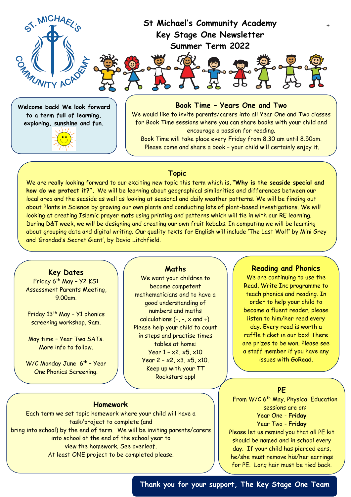

### **Topic**

We look for ward to see in the seeing you.

We are really looking forward to our exciting new topic this term which is, **"Why is the seaside special and how do we protect it?".** We will be learning about geographical similarities and differences between our local area and the seaside as well as looking at seasonal and daily weather patterns. We will be finding out about Plants in Science by growing our own plants and conducting lots of plant-based investigations. We will looking at creating Islamic prayer mats using printing and patterns which will tie in with our RE learning. During D&T week, we will be designing and creating our own fruit kebabs. In computing we will be learning about grouping data and digital writing. Our quality texts for English will include 'The Last Wolf' by Mini Grey and 'Grandad's Secret Giant', by David Litchfield.

## **Key Dates**

Friday 6<sup>th</sup> May - Y2 KS1 Assessment Parents Meeting, 9.00am.

Friday  $13^{th}$  May - Y1 phonics screening workshop, 9am.

May time – Year Two SATs. More info to follow.

W/C Monday June 6<sup>th</sup> - Year One Phonics Screening.

#### **Maths**

We want your children to become competent mathematicians and to have a good understanding of numbers and maths calculations  $(+, -, x \text{ and } \div).$ Please help your child to count in steps and practise times tables at home: Year  $1 - x^2$ ,  $x^5$ ,  $x^{10}$ Year  $2 - x^2$ ,  $x^3$ ,  $x^5$ ,  $x^{10}$ . Keep up with your TT Rockstars app!

#### **Reading and Phonics**

We are continuing to use the Read, Write Inc programme to teach phonics and reading. In order to help your child to become a fluent reader, please listen to him/her read every day. Every read is worth a raffle ticket in our box! There are prizes to be won. Please see a staff member if you have any issues with GoRead.

#### **PE**

From W/C 6<sup>th</sup> May, Physical Education sessions are on: Year One - **Friday** Year Two - **Friday** Please let us remind you that all PE kit should be named and in school every day. If your child has pierced ears, he/she must remove his/her earrings for PE. Long hair must be tied back.

## **Homework**

Each term we set topic homework where your child will have a task/project to complete (and bring into school) by the end of term. We will be inviting parents/carers into school at the end of the school year to view the homework. See overleaf. At least ONE project to be completed please.

**Thank you for your support, The Key Stage One Team**